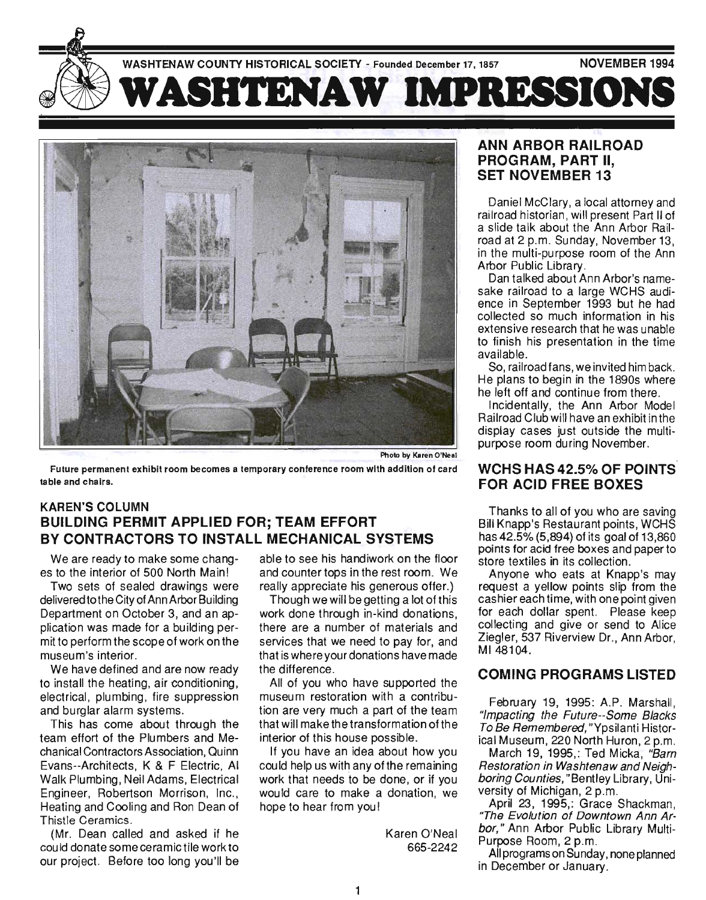



table and chairs.

## **KAREN'S COLUMN BUILDING PERMIT APPLIED FOR; TEAM EFFORT BY CONTRACTORS TO INSTALL MECHANICAL SYSTEMS**

We are ready to make some changes to the interior of 500 North Main!

Two sets of sealed drawings were delivered to the City of Ann Arbor Building Department on October 3, and an application was made for a building permit to perform the scope of work on the museum's interior.

We have defined and are now ready to install the heating, air conditioning, electrical, plumbing, fire suppression and burglar alarm systems.

This has come about through the team effort of the Plumbers and Mechanical Contractors Association, Quinn Evans--Architects, K & F Electric, AI Walk Plumbing, Neil Adams, Electrical Engineer, Robertson Morrison, Inc. , Heating and Cooling and Ron Dean of Thistle Ceramics .

(Mr. Dean called and asked if he could donate some ceramic tile work to our project. Before too long you 'll be

able to see his handiwork on the floor and counter tops in the rest room. We really appreciate his generous offer.)

Though we will be getting a lot of this work done through in-kind donations, there are a number of materials and services that we need to pay for, and that is where your donations have made the difference.

All of you who have supported the museum restoration with a contribution are very much a part of the team that will make the transformation of the interior of this house possible.

If you have an idea about how you could help us with any of the remaining work that needs to be done, or if you would care to make a donation, we hope to hear from you!

> Karen O'Neal 665-2242

#### **ANN ARBOR RAILROAD PROGRAM, PART II, SET NOVEMBER 13**

Daniel McClary, a local attorney and railroad historian, will present Part II of a slide talk about the Ann Arbor Railroad at 2 p.m. Sunday, November 13 , in the mUlti-purpose room of the Ann Arbor Public Library.

Dan talked about Ann Arbor's namesake railroad to a large WCHS audience in September 1993 but he had collected so much information in his extensive research that he was unable to finish his presentation in the time available.

So, railroad fans , we invited him back. He plans to begin in the 1890s where he left off and continue from there.

Incidentally, the Ann Arbor Model Railroad Club will have an exhibit in the display cases just outside the multipurpose room during November.

#### **WCHS HAS 42.5% OF POINTS FOR ACID FREE BOXES**

Thanks to all of you who are saving Bill Knapp's Restaurant points, WCHS has 42.5% (5,894) of its goal of 13,860 points for acid free boxes and paper to store textiles in its collection.

Anyone who eats at Knapp's may request a yellow points slip from the cashier each time, with one point given for each dollar spent. Please keep collecting and give or send to Alice Ziegler, 537 Riverview Dr., Ann Arbor, MI48104.

### **COMING PROGRAMS LISTED**

February 19, 1995: A.P. Marshall, "Impacting the Future--Some Blacks To Be Remembered, "Ypsilanti Historical Museum, 220 North Huron, 2 p.m.

March 19, 1995,: Ted Micka, "Barn Restoration in Washtenaw and Neighboring Counties, "Bentley Library, Univing overnies, benney Libi<br>ornitu of Michigan, 2 p.m. ary of Miloniyah, 2 p.m.<br>nril 22, 1995,: Oroco Shackman,

"The Evolution of Downtown Ann Arbor," Ann Arbor Public Library Multi-Purpose Room, 2 p.m.

All programs on Sunday, none planned in December or January.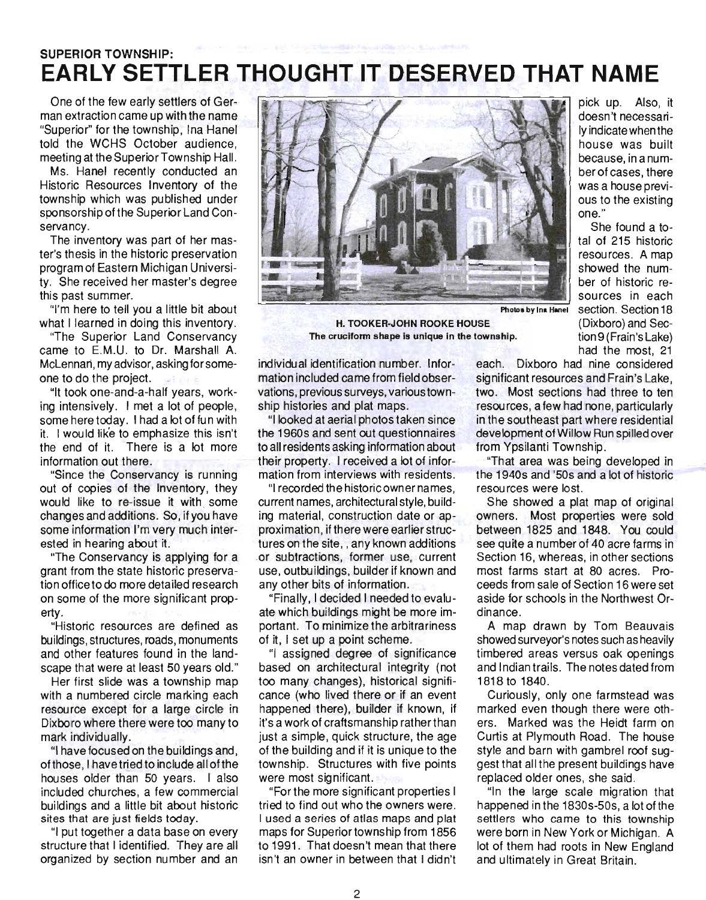# SUPERIOR TOWNSHIP: **EARLY SETTLER THOUGHT IT DESERVED THAT NAME**

One of the few early settlers of German extraction came up with the name "Superior" for the township, Ina Hanel told the WCHS October audience, meeting at the Superior Township Hall.

Ms. Hanel recently conducted an Historic Resources Inventory of the township which was published under sponsorship of the Superior Land Conservancy.

The inventory was part of her master's thesis in the historic preservation program of Eastern Michigan University. She received her master's degree this past summer.

"I'm here to tell you a little bit about what I learned in doing this inventory.

"The Superior Land Conservancy came to E.M.U. to Dr. Marshall A. McLennan, my advisor, asking for someone to do the project.

"It took one-and-a-half years, working intensively. I met a lot of people, some here today. I had a lot of fun with it. I would lik'e to emphasize this isn't the end of it. There is a lot more information out there.

"Since the Conservancy is running out of copies of the Inventory, they would like to re-issue it with some changes and additions. So, if you have some information I'm very much interested in hearing about it.

"The Conservancy is applying for a grant from the state historic preservation office to do more detailed research on some of the more significant property.

"Historic resources are defined as . buildings, structures, roads, monuments and other features found in the landscape that were at least 50 years old."

Her first slide was a township map with a numbered circle marking each resource except for a large circle in Dixboro where there were too many to mark individually.

"I have focused on the buildings and, of those, I have tried to include all of the houses older than 50 years. I also included churches, a few commercial buildings and a little bit about historic sites that are just fields today.

"I put together a data base on every structure that I identified. They are all organized by section number and an



Photos by Ins Hanel Section. Section 18

H. TOOKER-JOHN ROOKE HOUSE (Dixboro) and Sec-The cruciform shape is unique in the township.

individual identification number. Information included came from field observations, previous surveys, various township histories and plat maps.

"I looked at aerial photos taken since the 1960s and sent out questionnaires to all residents asking information about their property. I received a lot of information from interviews with residents.

"I recorded the historic owner names, current names, architectural style, building material, construction date or approximation, if there were earlier structures on the site, , any known additions ·or 'subtractions, former use, current use, outbuildings, builder if known and any other bits of information.

"Finally, I decided I needed to evaluate which buildings might be more important. To minimize the arbitrariness of it, I set up a point scheme.

"I assigned degree of significance based on architectural integrity (not too many changes), historical significance (who lived there or if an event happened there), builder if known, if it's a work of craftsmanship rather than just a simple, quick structure, the age of the building and if it is unique to the township. Structures with five points were most significant.

"Forthe more significant properties I tried to find out who the owners were. I used a series of atlas maps and plat maps for Superior township from 1856 to 1991. That doesn't mean that there isn't an owner in between that I didn't

each. Dixboro had nine considered significant resources and Frain's Lake, two. Most sections had three to ten resources, a few had none, particularly in the southeast part where residential development of Willow Run spilled over from Ypsilanti Township.

one."

pick up. Also, it doesn't necessarily indicate when the house was built because, in a number of cases, there was a house previous to the existing

She found a total of 215 historic resources. A map showed the number of historic resources in each

tion 9 ( Frain's Lake) had the most, 21

"That area was being developed in the 1940s and '50s and a lot of historic resources were lost.

She showed a plat map of original owners. Most properties were sold between 1825 and 1848. You could see quite a number of 40 acre farms in Section 16, whereas, in other sections most farms start at 80 acres. Proceeds from sale of Section 16 were set aside for schools in the Northwest Ordinance.

A map drawn by Tom Beauvais showed surveyor's notes such as heavily timbered areas versus oak openings and Indian trails. The notes dated from 1818 to 1840.

Curiously, only one farmstead was marked even though there were others. Marked was the Heidt farm on Curtis at Plymouth Road. The house style and barn with gambrel roof suggest that all the present buildings have replaced older ones, she said.

"In the large scale migration that happened inthe 1830s-50s, a lot of the settlers who came to this township were born in New York or Michigan. A lot of them had roots in New England and ultimately in Great Britain.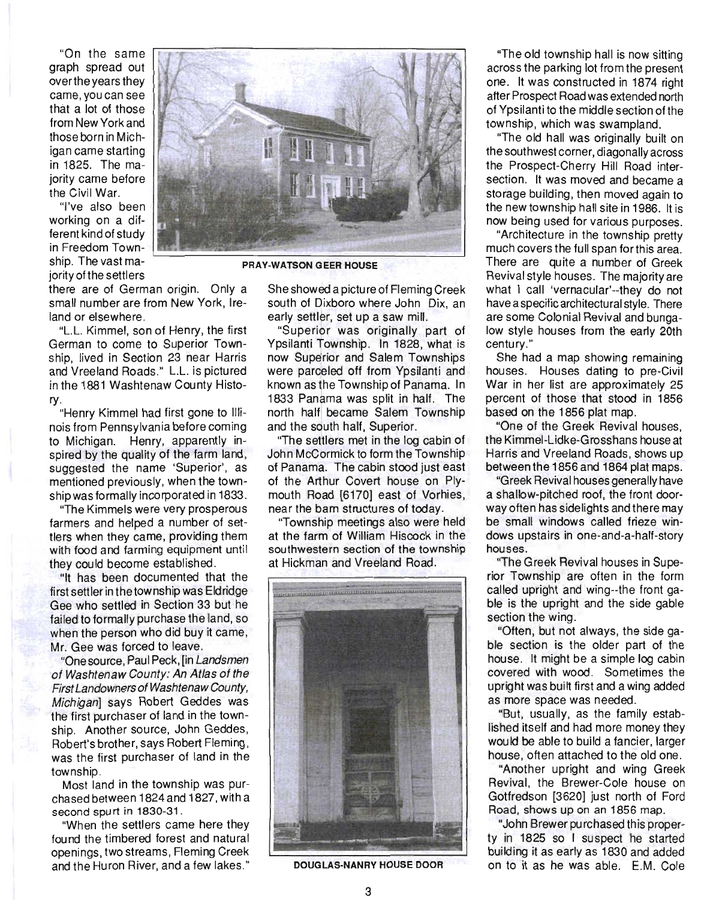"On the same graph spread out overthe years they came, you can see that a lot of those from New York and those born in Michigan came starting in 1825. The majority came before the Civil War.

"I've also been working on a different kind of study in Freedom Township. The vast majority of the settlers



PRAY-WATSON GEER HOUSE

there are of German origin. Only a small number are from New York, Ireland or elsewhere.

"L.L. Kimmel, son of Henry, the first German to come to Superior Township, lived in Section 23 near Harris and Vreeland Roads." L.L. is pictured in the 1881 Washtenaw County History.

"Henry Kimmel had first gone to Illinois from Pennsylvania before coming to Michigan. Henry, apparently inspired by the quality of the farm land, suggested the name 'Superior', as mentioned previously, when the township was formally incorporated in 1833.

"The Kimmels were very prosperous farmers and helped a number of settlers when they came, providing them with food and farming equipment until they could become established.

"It has been documented that the first settler in the township was Eldridge Gee who settled in Section 33 but he failed to formally purchase the land, so when the person who did buy it came, Mr. Gee was forced to leave.

"One source, Paul Peck, [in Landsmen of Washtenaw County: An Atlas of the First Landowners of Washtenaw County, Michigan] says Robert Geddes was the first purchaser of land in the township. Another source, John Geddes, Robert's brother, says Robert Fleming , was the first purchaser of land in the township.

Most land in the township was purchased between 1824 and 1827, with a second spurt in 1830-31 .

"When the settlers came here they found the timbered forest and natural openings, two streams, Fleming Creek and the Huron River, and a few lakes."

She showed a picture of Fleming Creek south of Dixboro where John Dix, an early settler, set up a saw mill.

"Superior was originally part of Ypsilanti Township. In 1828, what is now Superior and Salem Townships were parceled off from Ypsilanti and known as the Township of Panama. In 1833 Panama was split in half. The north half became Salem Township and the south half, Superior.

"The settlers met in the log cabin of John McCormick to form the Township of Panama. The cabin stood just east of the Arthur Covert house on Plymouth Road [6170] east of Vorhies, near the barn structures of today.

"Township meetings also were held at the farm of William Hiscock in the southwestern section of the township at Hickman and Vreeland Road .



DOUGLAS-NANRY HOUSE DOOR

"The old township hall is now sitting across the parking lot from the present one. It was constructed in 1874 right after Prospect Road was extended north of Ypsilanti to the middle section of the township, which was swampland.

"The old hall was originally built on the southwest corner, diagonally across the Prospect-Cherry Hill Road intersection. It was moved and became a storage building, then moved again to the new township hall site in 1986. It is now being used for various purposes.

"Architecture in the township pretty much covers the full span forthis area. There are quite a number of Greek Revival style houses. The majority are what I call 'vernacular'--they do not have a specific architectural style. There are some Colonial Revival and bungalow style houses from the early 20th century."

She had a map showing remaining houses. Houses dating to pre-Civil War in her list are approximately 25 percent of those that stood in 1856 based on the 1856 plat map.

"One of the Greek Revival houses, the Kimmel-Lidke-Grosshans house at Harris and Vreeland Roads, shows up between the 1856 and 1864 plat maps.

"Greek Revival houses generally have a shallow-pitched roof, the front doorway often has sidelights and there may be small windows called frieze windows upstairs in one-and-a-half-story houses.

"The Greek Revival houses in Superior Township are often in the form called upright and wing--the front gable is the upright and the side gable section the wing.

"Often, but not always, the side gable section is the older part of the house. It might be a simple log cabin covered with wood. Sometimes the upright was built first and a wing added as more space was needed.

"But, usually, as the family established itself and had more money they would be able to build a fancier, larger house, often attached to the old one.

"Another upright and wing Greek Revival, the Brewer-Cole house on Gotfredson [3620] just north of Ford Road, shows up on an 1856 map.

"John Brewer purchased this property in 1825 so I suspect he started building it as early as 1830 and added on to it as he was able. E.M . Cole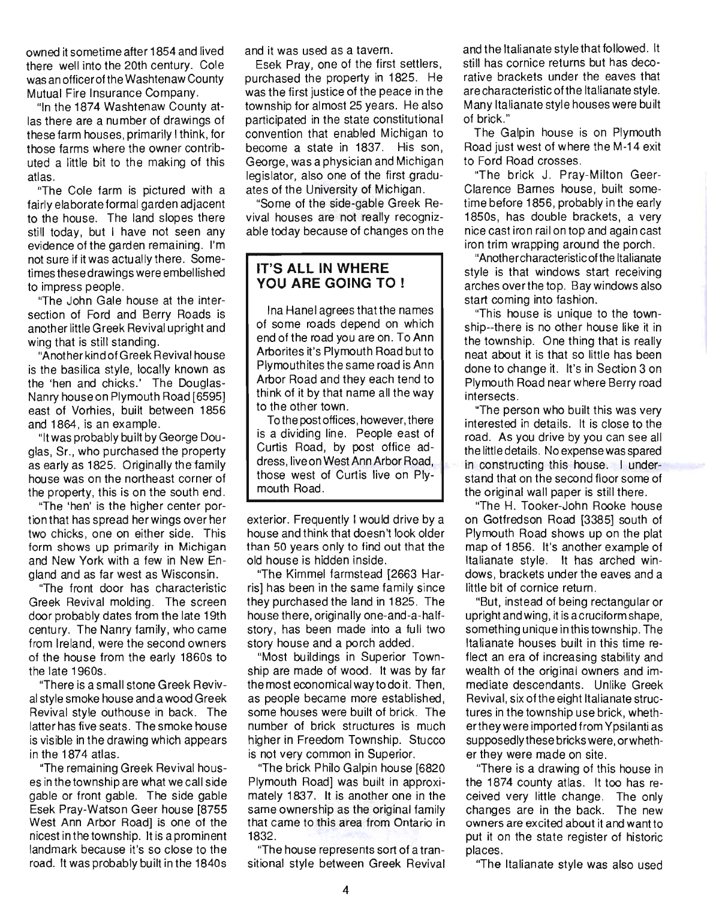owned it sometime after 1854 and lived there well into the 20th century. Cole was an officer of the Washtenaw County Mutual Fire Insurance Company.

"In the 1874 Washtenaw County atlas there are a number of drawings of these farm houses, primarily I think, for those farms where the owner contributed a little bit to the making of this atlas.

"The Cole farm is pictured with a fairly elaborate formal garden adjacent to the house. The land slopes there still today, but I have not seen any evidence of the garden remaining. I'm not sure if it was actually there. Sometimes these drawings were embellished to impress people.

"The John Gale house at the intersection of Ford and Berry Roads is another little Greek Revival upright and wing that is still standing.

"Another kind of G reek Revival hou se is the basilica style, locally known as the 'hen and chicks.' The Douglas-Nanry house on Plymouth Road [6595] east of Vorhies, built between 1856 and 1864, is an example.

"It was probably built by George Douglas, Sr., who purchased the property as early as 1825. Originally the family house was on the northeast corner of the property, this is on the south end.

"The 'hen' is the higher center portion that has spread her wings over her two chicks, one on either side. This form shows up primarily in Michigan and New York with a few in New England and as far west as Wisconsin.

"The front door has characteristic Greek Revival molding. The screen door probably dates from the late 19th century. The Nanry family, who came from Ireland, were the second owners of the house from the early 1860s to the late 1960s.

"There is a small stone Greek Revival style smoke house and a wood Greek Revival style outhouse in back. The latter has five seats. The smoke house is visible in the drawing which appears in the 1874 atlas.

"The remaining Greek Revival houses in the township are what we call side gable or front gable. The side gable Esek Pray-Watson Geer house [8755 West Ann Arbor Road] is one of the nicest in the township. It is a prominent landmark because it's so close to the road. It was probably built in the 1840s and it was used as a tavern.

Esek Pray, one of the first settlers, purchased the property in 1825. He was the first justice of the peace in the township for almost 25 years. He also participated in the state constitutional convention that enabled Michigan to become a state in 1837. His son, George, was a physician and Michigan legislator, also one of the first graduates of the University of Michigan.

"Some of the side-gable Greek Revival houses are not really recognizable today because of changes on the

#### **IT'S ALL IN WHERE YOU ARE GOING TO !**

Ina Hanel agrees that the names of some roads depend on which end of the road you are on. To Ann Arborites it's Plymouth Road but to Plymouthites the same road is Ann Arbor Road and they each tend to think of it by that name all the way to the other town.

To the post offices, however, there is a dividing line. People east of Curtis Road, by post office address, live on West Ann Arbor Road, those west of Curtis live on Plymouth Road.

exterior. Frequently I would drive by a house and think that doesn't look older than 50 years only to find out that the old house is hidden inside.

"The Kimmel farmstead [2663 Harris] has been in the same family since they purchased the land in 1825. The house there, originally one-and-a-halfstory, has been made into a full two story house and a porch added.

"Most buildings in Superior Township are made of wood. It was by far the most economical way to do it. Then. as people became more established, some houses were built of brick. The number of brick structures is much higher in Freedom Township. Stucco is not very common in Superior.

"The brick Philo Galpin house [6820 Plymouth Road] was built in approximately 1837. It is another one in the same ownership as the original family that came to this area from Ontario in 1832.

"The house represents sort of a transitional style between Greek Revival and the Italianate style that followed. It still has cornice returns but has decorative brackets under the eaves that are characteristic of the Italianate style. Many Italianate style houses were built of brick."

The Galpin house is on Plymouth Road just west of where the M-14 exit to Ford Road crosses.

"The brick J. Pray-Milton Geer-Clarence Barnes house, built sometime before 1856, probably in the early 1850s, has double brackets, a very nice cast iron rail on top and again cast iron trim wrapping around the porch.

"Another characteristic ofthe Italianate style is that windows start receiving arches overthe top. Bay windows also start coming into fashion.

"This house is unique to the township--there is no other house like it in the township. One thing that is really neat about it is that so little has been done to change it. It's in Section 3 on Plymouth Road near where Berry road intersects.

"The person who built this was very interested in details. It is close to the road. As you drive by you can see all the little details. No expense was spared in constructing this house. I understand that on the second floor some of the original wall paper is still there.

"The H. Tooker-John Rooke house on Gotfredson Road [3385] south of Plymouth Road shows up on the plat map of 1856. It's another example of Italianate style. It has arched windows, brackets under the eaves and a little bit of cornice return.

"But, instead of being rectangular or upright and wing, it is a cruciform shape, something unique inthistownship. The Italianate houses built in this time reflect an era of increasing stability and wealth of the original owners and immediate descendants. Unlike Greek Revival, six of the eight It alianate structures in the township use brick, whetherthey were imported from Ypsilanti as supposedly these bricks were, or whether they were made on site.

"There is a drawing of this house in the 1874 county atlas. It too has received very little change. The only changes are in the back. The new owners are excited about it and want to put it on the state register of historic places.

"The Italianate style was also used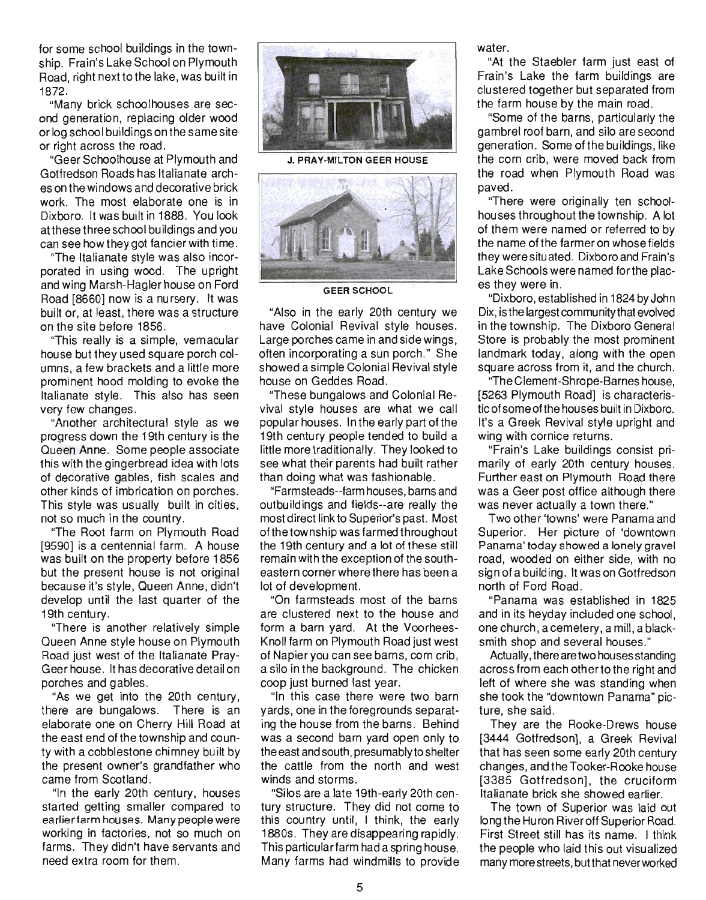for some school buildings in the township. Frain's Lake School on Plymouth Road, right next to the lake, was built in 1872.

"Many brick schoolhouses are second generation, replacing older wood or log school bui Idings on the same site or right across the road.

"Geer Schoolhouse at Plymouth and Gotfredson Roads has Italianate arches on the windows and decorative brick work. The most elaborate one is in Dixboro. It was built in 1888. You look at these three school buildings and you can see how they got fancier with time.

"The Italianate style was also incorporated in using wood. The upright and wing Marsh-Hagler house on Ford Road [8660] now is a nursery. It was built or, at least, there was a structure on the site before 1856.

"This really is a simple, vernacular house but they used square porch columns, a few brackets and a little more prominent hood molding to evoke the Italianate style. This also has seen very few changes.

"Another architectural style as we progress down the 19th century is the Queen Anne. Some people associate this with the gingerbread idea with lots of decorative gables, fish scales and other kinds of imbrication on porches. This style was usually built in cities, not so much in the country.

"The Root farm on Plymouth Road [9590] is a centennial farm. A house was built on the property before 1856 but the present house is not original because it's style, Queen Anne, didn't develop until the last quarter of the 19th century.

"There is another relatively simple Queen Anne style house on Plymouth Road just west of the Italianate Pray-Geer house. It has decorative detail on porches and gables.

"As we get into the 20th century, there are bungalows. There is an elaborate one on Cherry Hill Road at the east end of the township and county with a cobblestone chimney built by the present owner's grandfather who came from Scotland.

"In the early 20th century, houses started getting smaller compared to earlier farm houses. Many people were working in factories, not so much on farms. They didn't have servants and need extra room for them.



J. PRAY-MILTON GEER HOUSE



GEER SCHOOL

"Also in the early 20th century we have Colonial Revival style houses. Large porches came in and side wings, often incorporating a sun porch." She showed a simple Colonial Revival style house on Geddes Road.

"These bungalows and Colonial Revival style houses are what we call popular houses. In the early part of the 19th century people tended to build a little more traditionally. They looked to see what their parents had built rather than doing what was fashionable.

"Farmsteads--farm houses, barns and outbuildings and fields--are really the most direct link to Superior's past. Most of the township was farmed throughout the 19th century and a lot of these still remain with the exception of the southeastern corner where there has been a lot of development.

"On farmsteads most of the barns are clustered next to the house and form a barn yard. At the Voorhees-Knoll farm on Plymouth Road just west of Napier you can see barns, corn crib, a silo in the background. The chicken coop just burned last year.

"In this case there were two barn yards, one in the foregrounds separating the house from the barns. Behind was a second barn yard open only to the east and south, presumably to shelter the cattle from the north and west winds and storms.

"Silos are a late 19th-early 20th century structure. They did not come to this country until, I think, the early 1880s. They are disappearing rapidly. This particular farm had a spring house. Many farms had windmills to provide water.

"At the Staebler farm just east of Frain's Lake the farm buildings are clustered together but separated from the farm house by the main road.

"Some of the barns, particularly the gambrel roof barn, and silo are second generation. Some of the buildings, like the corn crib, were moved back from the road when Plymouth Road was paved.

"There were originally ten schoolhouses throughout the township. A lot of them were named or referred to by the name of the farmer on whose fields they were situated. Dixboro and Frain's Lake Schools were named' forthe places they were in.

"Dixboro, established in 1824 by John Dix, is the largest community that evolved in the township. The Dixboro General Store is probably the most prominent landmark today, along with the open square across from it, and the church.

"The Clement-Shrope-Barnes house, [5263 Plymouth Road] is characteristic of some of the houses built in Dixboro. It's a Greek Revival style upright and wing with cornice returns.

"Frain's Lake buildings consist primarily of early 20th century houses. Further east on Plymouth Road there was a Geer post office although there was never actually a town there."

Two other 'towns' were Panama and Superior. Her picture of 'downtown Panama' today showed a lonely gravel road, wooded on either side, with no sign of a building. It was on Gotfredson north of Ford Road.

"Panama was established in 1825 and in its heyday included one school, one church, a cemetery, a mill, a blacksmith shop and several houses."

Actually, there are two houses standing across from each other to the right and left of where she was standing when she took the "downtown Panama" picture, she said.

They are the Rooke-Drews house [3444 Gotfredson]. a Greek Revival that has seen some early 20th century changes, and the Tooker-Rooke house [3385 Gotfredson], the cruciform Italianate brick she showed earlier.

The town of Superior was laid out long the Huron River off Superior Road. First Street still has its name. I think the people who laid this out visualized many more streets, but that never worked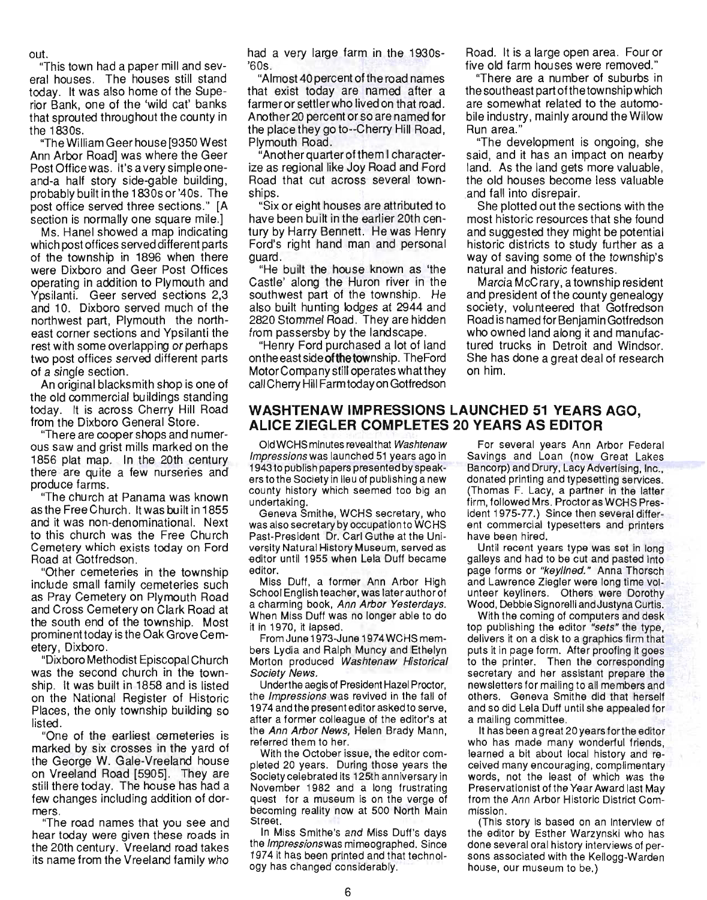out.

"This town had a paper mill and several houses. The houses still stand today. It was also home of the Superior Bank, one of the 'wild cat' banks that sprouted throughout the county in the 1830s.

"The William Geer house [9350 West Ann Arbor Road] was where the Geer Post Office was. It's a very simple oneand-a half story side-gable building, probably built in the 1830s or '40s. The post office served three sections." [A section is normally one square mile.]

Ms. Hanel showed a map indicating which post offices served different parts of the township in 1896 when there were Dixboro and Geer Post Offices operating in addition to Plymouth and Ypsilanti. Geer served sections 2,3 and 10. Dixboro served much of the northwest part, Plymouth the northeast corner sections and Ypsilanti the rest with some overlapping or perhaps two post offices served different parts of a single section.

An original blacksmith shop is one of the old commercial buildings standing today. It is across Cherry Hill Road from the Dixboro General Store.

"There are cooper shops and numerous saw and grist mills marked on the 1856 plat map. In the 20th century there are quite a few nurseries and produce farms .

"The church at Panama was known as the Free Church. It was built in 1855 and it was non-denominational. Next to this church was the Free Church Cemetery which exists today on Ford Road at Gotfredson.

"Other cemeteries in the township include small family cemeteries such as Pray Cemetery on Plymouth Road and Cross Cemetery on Clark Road at the south end of the township. Most prominent today is the Oak Grove Cemetery, Dixboro.

"Dixboro Methodist Episcopal Church was the second church in the township. It was built in 1858 and is listed on the National Register of Historic Places, the only township building so listed.

"One of the earliest cemeteries is marked by six crosses in the yard of the George W. Gale-Vreeland house on Vreeland Road [5905]. They are still there today. The house has had a few changes including addition of dormers.

"The road names that you see and hear today were given these roads in the 20th century. Vreeland road takes its name from the Vreeland family who had a very large farm in the 1930s- '60s.

"Almost 40 percent of the road names that exist today are named after a farmer or settler who lived on that road. Another 20 percent or so are named for the place they go to--Cherry Hill Road, Plymouth Road.

"Anotherquarterofthem I characterize as regional like Joy Road and Ford Road that cut across several townships.

"Six or eight houses are attributed to have been built in the earlier 20th century by Harry Bennett. He was Henry Ford's right hand man and personal guard.

"He built the house known as 'the Castle' along the Huron river in the southwest part of the township. He also built hunting lodges at 2944 and 2820 Stommel Road. They are hidden from passersby by the landscape.

"Henry Ford purchased a lot of land on the east side of the township. The Ford Motor Company still operates what they call Cherry Hill Farm today on Gotfredson Road. It is a large open area. Four or five old farm houses were removed."

"There are a number of suburbs in the southeast part ofthetownship which are somewhat related to the automobile industry, mainly around the Willow Run area."

"The development is ongoing, she said, and it has an impact on nearby land. As the land gets more valuable, the old houses become less valuable and fall into disrepair.

She plotted out the sections with the most historic resources that she found and suggested they might be potential historic districts to study further as a way of saving some of the township's natural and historic features.

Marcia McCrary, a township resident and president of the county genealogy society, volunteered that Gotfredson Road is named for Benjamin Gotfredson who owned land along it and manufactured trucks in Detroit and Windsor. She has done a great deal of research on him.

## **WASHTENAW IMPRESSIONS LAUNCHED 51 YEARS AGO, ALICE ZIEGLER COMPLETES 20 YEARS AS EDITOR**

Old WCHS minutes revealthat Washtenaw Impressions was launched 51 years ago in 1943 to publish papers presented by speakerstothe Society in lieu of publishing a new county history which seemed too big an undertaking.

Geneva Smithe, WCHS secretary, who was also secretary by occupation to WCHS Past-President Dr. Carl Guthe at the University Natural History Museum, served as -editor until 1955 when Lela Duff became editor.

Miss Duff, a former Ann Arbor High School English teacher, was later author of a charming book, Ann Arbor Yesterdays. When Miss Duff was no longer able to do it in 1970, it lapsed.

FromJune 1973-June 1974 WCHS members Lydia and Ralph Muncy and Ethelyn Morton produced Washtenaw Historical Society News.

Underthe aegis of President Hazel Proctor, the *Impressions* was revived in the fall of 1974 and the present editor asked to serve, after a former colleague of the editor's at the Ann Arbor News, Helen Brady Mann, referred them to her.

With the October issue, the editor completed 20 years. During those years the Society celebrated its 125th anniversary in November 1982 and a long frustrating quest for a museum is on the verge of becoming reality now at 500 North Main Street.

In Miss Smithe's and Miss Duff's days the Impressions was mimeographed. Since 1974 it has been printed and that technology has changed considerably.

For several years Ann Arbor Federal Savings and Loan (now Great Lakes Bancorp) and Drury, Lacy Advertising, Inc., donated printing and typesetting services. (Thomas F. Lacy, a partner in the latter firm, followed Mrs. Proctor as WCHS President 1975-77.) Since then several different commercial typesetters and printers have been hired.

Until recent years type was set in long galleys and had to be cut and pasted into page forms or "keyllned." Anna Thorsch and Lawrence Ziegler were long time volunteer keyliners. Others were Dorothy Wood, Debbie Signorelli andJustyna Curtis.

With the coming of computers and desk top publishing the editor "sets" the type, delivers it on a disk to a graphics firm that puts it in page form. After proofing it goes to the printer. Then the corresponding secretary and her assistant prepare the newsletters for mailing to all members and others. Geneva Smithe did that herself and so did Lela Duff until she appealed for a mailing committee.

It has been agreat 20 years forthe editor who has made many wonderful friends, learned a bit about local history and received many encouraging, complimentary words, not the least of which was the Preservationist of the Year Award last May from the Ann Arbor Historic District Commission.

(This story is based on an interview of the editor by Esther Warzynski who has done several oral history interviews of persons associated with the Kellogg-Warden house, our museum to be.)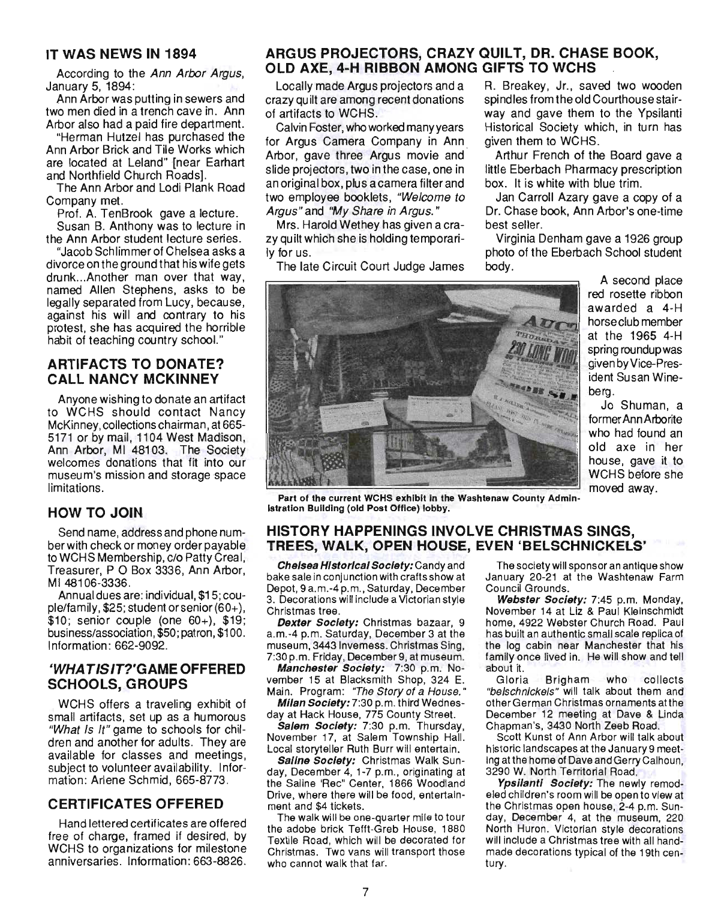#### IT WAS NEWS IN 1894

According to the Ann Arbor Argus, January 5, 1894:

Ann Arbor was putting in sewers and two men died in a trench cave in. Ann Arbor also had a paid fire department.

"Herman Hutzel has purchased the Ann Arbor Brick and Tile Works which are located at Leland" [near Earhart and Northfield Church Roads].

The Ann Arbor and Lodi Plank Road Company met.

Prof. A. TenBrook gave a lecture. Susan B. Anthony was to lecture in the Ann Arbor student lecture series.

"Jacob Schlimmer of Chelsea asks a divorce on the ground that his wife gets drunk ... Another man over that way, named Allen Stephens, asks to be legally separated from Lucy, because, against his will and contrary to his protest, she has acquired the horrible habit of teaching country school."

## ARTIFACTS TO DONATE? CALL NANCY MCKINNEY

Anyone wishing to donate an artifact to WCHS should contact Nancy McKinney, collections chairman, at 665- 5171 or by mail, 1104 West Madison, Ann Arbor, MI 48103. The Society welcomes donations that fit into our museum's mission and storage space limitations.

#### HOW TO JOIN

Send name, address and phone number with check or money order payable to WCHS Membership, c/o Patty Creal, Treasurer, POBox 3336, Ann Arbor, MI48106-3336.

Annual dues are: individual, \$15; couple/family, \$25; student or senior (60+),  $$10;$  senior couple (one  $60+$ ),  $$19;$ business/association, \$50; patron, \$100. Information: 662-9092.

#### 'WHA TIS IT?'GAME OFFERED SCHOOLS, GROUPS

WCHS offers a traveling exhibit of small artifacts, set up as a humorous "What Is It" game to schools for children and another for adults. They are available for classes and meetings, subject to volunteer availability. Information: Arlene Schmid, 665-8773.

#### CERTIFICATES OFFERED

Hand lettered certificates are offered free of charge, framed if desired, by WCHS to organizations for milestone anniversaries . Information: 663-8826.

## ARGUS PROJECTORS, CRAZY QUILT, DR. CHASE BOOK, OLD AXE, 4-H RIBBON AMONG GIFTS TO WCHS

Locally made Argus projectors and a crazy qu ilt are among recent donations of artifacts to WCHS.

Calvin Foster, who worked many years for Argus Camera Company in Ann Arbor, gave three Argus movie and slide projectors, two in the case, one in an original box, plus a camera filter and two employee booklets, "Welcome to Argus" and "My Share in Argus. "

Mrs. Harold Wethey has given a crazy quilt which she is holding temporarily for us.

The late Circuit Court Judge James

R. Breakey, Jr., saved two wooden spindles from the old Courthouse stairway and gave them to the Ypsilanti Historical Society which, in turn has given them to WCHS.

Arthur French of the Board gave a little Eberbach Pharmacy prescription box. It is white with blue trim.

Jan Carroll Azary gave a copy of a Dr. Chase book, Ann Arbor's one-time best seller.

Virginia Denham gave a 1926 group photo of the Eberbach School student body.



spring roundup was given by Vice-President Susan Wineberg. Jo Shuman, a former Ann Arborite

who had found an old axe in her house, gave it to WCHS before she moved away.

A second place red rosette ribbon awarded a 4-H horse club member at the 1965 4-H

 $P(A|A)$  are computed which in the Washtenaw  $C$  in the  $A$ **Part of the current works exhibit in the** 

#### HISTORY HAPPENINGS INVOLVE CHRISTMAS SINGS, TREES, WALK, OPEN HOUSE, EVEN 'BELSCHNICKELS'

Chelsea Historical Society: Candy and bake sale in conjunction with crafts show at ake sale in conjunction with crafts show at 3. Decorations will include a Victorian style 3. Decorations will include a Victorian style<br>Christmas tree.

Dexter Society: Christmas bazaar, 9 **Dexter Society, Official decade 3** at the museum, 3443 Inverness. Christmas Sing, museum, 3443 Invemess. Christmas Sing,<br>7:30 p.m. Friday, December 9, at museum.

Manchester Society: 7:30 p.m. Nowanthester Society, 7.30 p.m. No-Main. Program: "The Story of a House." Main. Program: "The Story of a House."

Milan Society: 7:30 p.m. third Wednesday at Hack House, 775 County Street.<br>Salem Society: 7:30 p.m. Thursday,

November 17, at Salem Township Hall. Local storyteller Ruth Burr will entertain.

Saline Society: Christmas Walk Sunday, December 4, 1-7 p.m., originating at the Saline 'Rec" Center, 1866 Woodland Drive, where there will be food, entertainment and \$4 tickets.

The walk will be one-quarter mile to tour the adobe brick Tefft-Greb House, 1880 Textile Road, which will be decorated for Christmas. Two vans will transport those who cannot walk that far.

The society will sponsor an antique show January 20-21 at the Washtenaw Farm allualy 20-21 al 1<br>Aliaeii Crouade Council Grounds.<br>Webster Society: 7:45 p.m. Monday,

November 14 at Liz & Paul Kleinschmidt home, 4922 Webster Church Road. Paul has built an authentic small scale replica of as built all authorities in all scale replica of family once lived in. He will show and tell amay Unc<br>bout it about it.<br>Gloria Brigham who collects

"belschnickels" will talk about them and other German Christmas ornaments at the December 12 meeting at Dave & Linda Chapman's, 3430 North Zeeb Road. Scott Kunst of Ann Arbor will talk about

historic landscapes at the January 9 meethistoric landscapes at the January 9 meeting at the home of Dave and Gerry Calhoun, 3290 W. North Territorial Road. Ypsilanti Society: The newly remod-

eled children's room will be open to view at eled children's room will be open to view at<br>the Christmas open house, 2-4 p.m. Sunday, December 4, at the museum, 220 North Huron. Victorian style decorations will include a Christmas tree with all handm molute a Omnotinas tied with difficulture. iau<del>u</del>